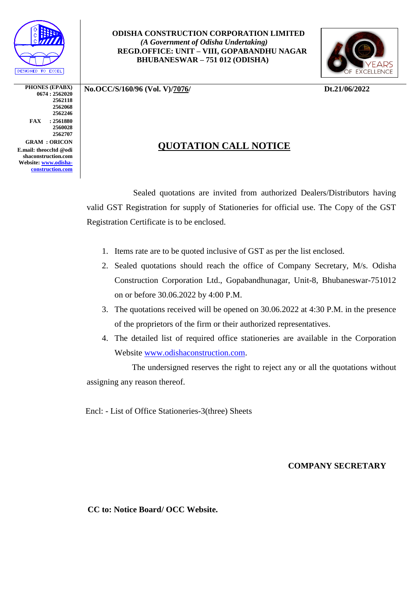

**PHONES (EPABX) 0674 : 2562020 2562118 2562068 2562246 FAX : 2561880 2560028 2562707 GRAM : ORICON E.mail: theoccltd @odi shaconstruction.com Website: [www.odisha](http://www.odisha-construction.com/)[construction.com](http://www.odisha-construction.com/)**

## **ODISHA CONSTRUCTION CORPORATION LIMITED**  *(A Government of Odisha Undertaking)*  **REGD.OFFICE: UNIT – VIII, GOPABANDHU NAGAR BHUBANESWAR – 751 012 (ODISHA)**



**No.OCC/S/160/96 (Vol. V)/7076/ Dt.21/06/2022**

## **QUOTATION CALL NOTICE**

 Sealed quotations are invited from authorized Dealers/Distributors having valid GST Registration for supply of Stationeries for official use. The Copy of the GST Registration Certificate is to be enclosed.

- 1. Items rate are to be quoted inclusive of GST as per the list enclosed.
- 2. Sealed quotations should reach the office of Company Secretary, M/s. Odisha Construction Corporation Ltd., Gopabandhunagar, Unit-8, Bhubaneswar-751012 on or before 30.06.2022 by 4:00 P.M.
- 3. The quotations received will be opened on 30.06.2022 at 4:30 P.M. in the presence of the proprietors of the firm or their authorized representatives.
- 4. The detailed list of required office stationeries are available in the Corporation Website [www.odishaconstruction.com.](http://www.odishaconstruction.com/)

 The undersigned reserves the right to reject any or all the quotations without assigning any reason thereof.

Encl: - List of Office Stationeries-3(three) Sheets

**COMPANY SECRETARY**

 **CC to: Notice Board/ OCC Website.**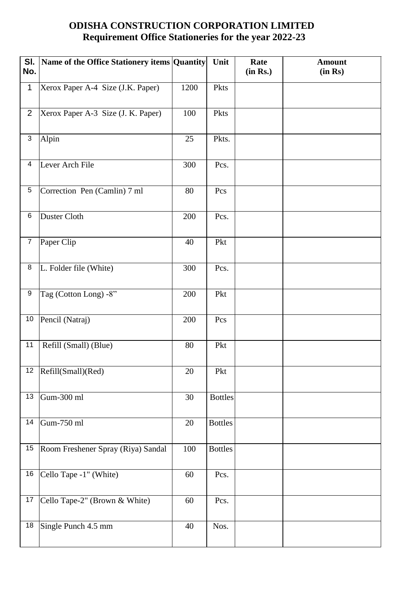## **ODISHA CONSTRUCTION CORPORATION LIMITED Requirement Office Stationeries for the year 2022-23**

| SI.<br>No.      | Name of the Office Stationery items Quantity |        | Unit           | Rate<br>(in Rs.) | <b>Amount</b><br>(in Rs) |
|-----------------|----------------------------------------------|--------|----------------|------------------|--------------------------|
| $\mathbf 1$     | Xerox Paper A-4 Size (J.K. Paper)            | 1200   | Pkts           |                  |                          |
| $\overline{2}$  | Xerox Paper A-3 Size (J. K. Paper)           | 100    | Pkts           |                  |                          |
| 3               | Alpin                                        | 25     | Pkts.          |                  |                          |
| 4               | Lever Arch File                              | 300    | Pcs.           |                  |                          |
| $\overline{5}$  | Correction Pen (Camlin) 7 ml                 | 80     | Pcs            |                  |                          |
| 6               | Duster Cloth                                 | 200    | Pcs.           |                  |                          |
| $\overline{7}$  | Paper Clip                                   | 40     | Pkt            |                  |                          |
| 8               | L. Folder file (White)                       | 300    | Pcs.           |                  |                          |
| 9               | Tag (Cotton Long) -8"                        | 200    | Pkt            |                  |                          |
| 10              | Pencil (Natraj)                              | 200    | Pcs            |                  |                          |
| 11              | Refill (Small) (Blue)                        | 80     | Pkt            |                  |                          |
|                 | 12  Refill(Small)(Red)                       | $20\,$ | Pkt            |                  |                          |
| $\overline{13}$ | Gum-300 ml                                   | 30     | <b>Bottles</b> |                  |                          |
| 14              | Gum-750 ml                                   | 20     | <b>Bottles</b> |                  |                          |
| 15              | Room Freshener Spray (Riya) Sandal           | 100    | <b>Bottles</b> |                  |                          |
| 16              | Cello Tape -1" (White)                       | 60     | Pcs.           |                  |                          |
| 17              | Cello Tape-2" (Brown & White)                | 60     | Pcs.           |                  |                          |
| $\overline{18}$ | Single Punch 4.5 mm                          | 40     | Nos.           |                  |                          |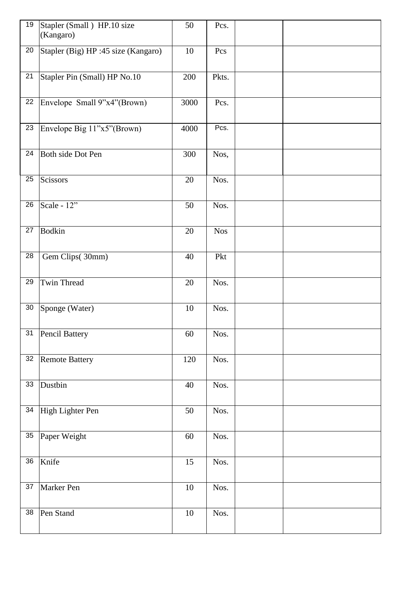| 19              | Stapler (Small) HP.10 size<br>(Kangaro) | 50              | Pcs.       |  |
|-----------------|-----------------------------------------|-----------------|------------|--|
| 20              | Stapler (Big) HP :45 size (Kangaro)     | 10              | Pcs        |  |
| 21              | Stapler Pin (Small) HP No.10            | 200             | Pkts.      |  |
| $\overline{22}$ | Envelope Small 9"x4"(Brown)             | 3000            | Pcs.       |  |
| 23              | Envelope Big 11"x5"(Brown)              | 4000            | Pcs.       |  |
| 24              | Both side Dot Pen                       | 300             | Nos,       |  |
| 25              | Scissors                                | 20              | Nos.       |  |
| 26              | Scale - $12$ "                          | 50              | Nos.       |  |
| 27              | <b>Bodkin</b>                           | 20              | <b>Nos</b> |  |
| 28              | Gem Clips(30mm)                         | 40              | Pkt        |  |
| 29              | Twin Thread                             | 20              | Nos.       |  |
| 30              | Sponge (Water)                          | 10              | Nos.       |  |
| 31              | Pencil Battery                          | 60              | Nos.       |  |
|                 | 32 Remote Battery                       | 120             | Nos.       |  |
| $\overline{33}$ | Dustbin                                 | 40              | Nos.       |  |
| $\overline{34}$ | High Lighter Pen                        | 50              | Nos.       |  |
| 35              | Paper Weight                            | $60\,$          | Nos.       |  |
| $\overline{36}$ | Knife                                   | $\overline{15}$ | Nos.       |  |
| 37              | Marker Pen                              | $10\,$          | Nos.       |  |
| 38              | Pen Stand                               | $10\,$          | Nos.       |  |